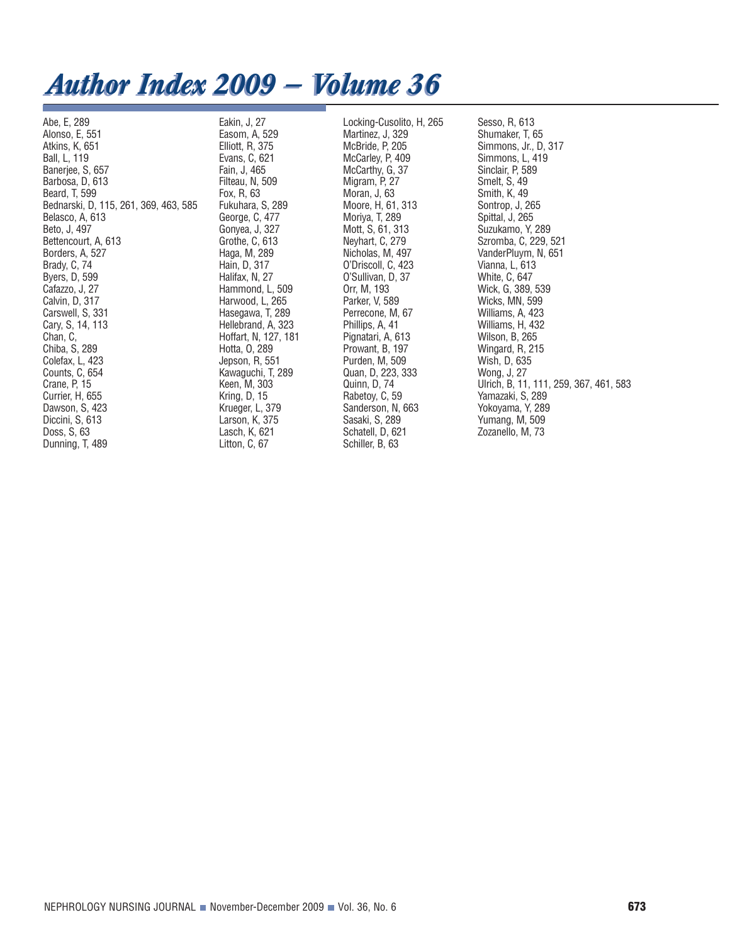## *Author Index 2009 — Volume 36 Author Index 2009 — Volume 36*

Abe, E, 289 Alonso, E, 551 Atkins, K, 651 Ball, L, 119 Banerjee, S, 657 Barbosa, D, 613 Beard, T, 599 Bednarski, D, 115, 261, 369, 463, 585 Belasco, A, 613 Beto, J, 497 Bettencourt, A, 613 Borders, A, 527 Brady, C, 74 Byers, D, 599 Cafazzo, J, 27 Calvin, D, 317 Carswell, S, 331 Cary, S, 14, 113 Chan, C, Chiba, S, 289 Colefax, L, 423 Counts, C, 654 Crane, P, 15 Currier, H, 655 Dawson, S, 423 Diccini, S, 613 Doss, S, 63 Dunning, T, 489

Eakin, J, 27 Easom, A, 529 Elliott, R, 375 Evans, C, 621 Fain, J, 465 Filteau, N, 509 Fox, R, 63 Fukuhara, S, 289 George, C, 477 Gonyea, J, 327 Grothe, C, 613 Haga, M, 289 Hain, D, 317 Halifax, N, 27 Hammond, L, 509 Harwood, L, 265 Hasegawa, T, 289 Hellebrand, A, 323 Hoffart, N, 127, 181 Hotta, O, 289 Jepson, R, 551 Kawaguchi, T, 289 Keen, M, 303 Kring, D, 15 Krueger, L, 379 Larson, K, 375 Lasch, K, 621 Litton, C, 67

Locking-Cusolito, H, 265 Martinez, J, 329 McBride, P, 205 McCarley, P, 409 McCarthy, G, 37 Migram, P, 27 Moran, J, 63 Moore, H, 61, 313 Moriya, T, 289 Mott, S, 61, 313 Neyhart, C, 279 Nicholas, M, 497 O'Driscoll, C, 423 O'Sullivan, D, 37 Orr, M, 193 Parker, V, 589 Perrecone, M, 67 Phillips, A, 41 Pignatari, A, 613 Prowant, B, 197 Purden, M, 509 Quan, D, 223, 333 Quinn, D, 74 Rabetoy, C, 59 Sanderson, N, 663 Sasaki, S, 289 Schatell, D, 621 Schiller, B, 63

Sesso, R, 613 Shumaker, T, 65 Simmons, Jr., D, 317 Simmons, L, 419 Sinclair, P, 589 Smelt, S, 49 Smith, K, 49 Sontrop, J, 265 Spittal, J, 265 Suzukamo, Y, 289 Szromba, C, 229, 521 VanderPluym, N, 651 Vianna, L, 613 White, C, 647 Wick, G, 389, 539 Wicks, MN, 599 Williams, A, 423 Williams, H, 432 Wilson, B, 265 Wingard, R, 215 Wish, D, 635 Wong, J, 27 Ulrich, B, 11, 111, 259, 367, 461, 583 Yamazaki, S, 289 Yokoyama, Y, 289 Yumang, M, 509 Zozanello, M, 73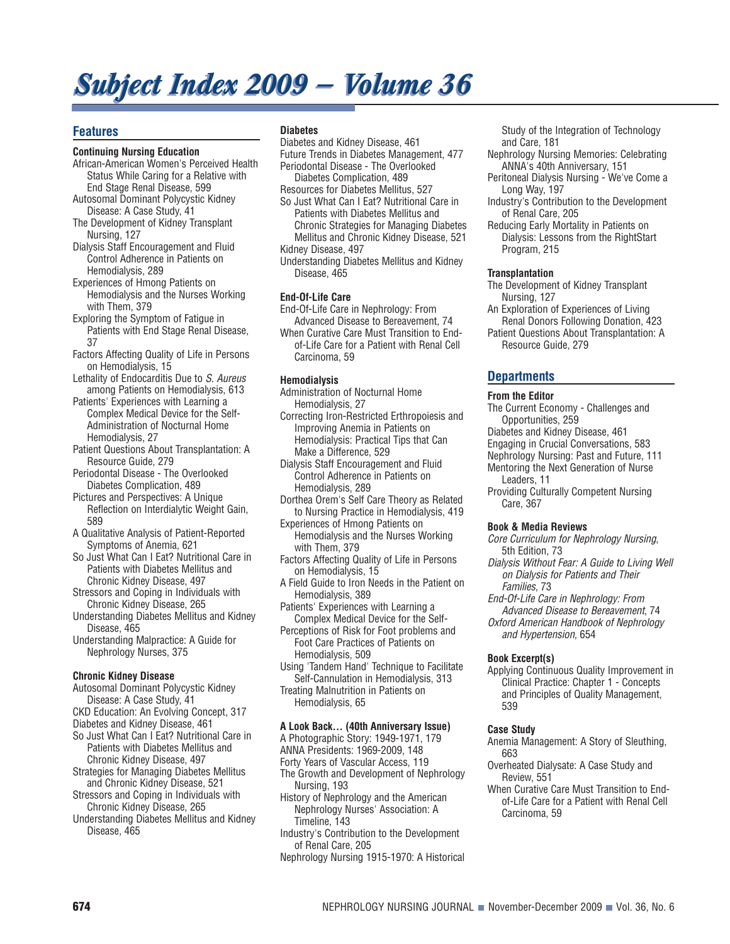# *Subject Index 2009 — Volume 36 Subject Index 2009 — Volume 36*

## **Features**

#### **Continuing Nursing Education**

- African-American Women's Perceived Health Status While Caring for a Relative with End Stage Renal Disease, 599
- Autosomal Dominant Polycystic Kidney Disease: A Case Study, 41
- The Development of Kidney Transplant Nursing, 127
- Dialysis Staff Encouragement and Fluid Control Adherence in Patients on Hemodialysis, 289
- Experiences of Hmong Patients on Hemodialysis and the Nurses Working with Them, 379
- Exploring the Symptom of Fatigue in Patients with End Stage Renal Disease, 37
- Factors Affecting Quality of Life in Persons on Hemodialysis, 15
- Lethality of Endocarditis Due to S. Aureus among Patients on Hemodialysis, 613
- Patients' Experiences with Learning a Complex Medical Device for the Self-Administration of Nocturnal Home Hemodialysis, 27
- Patient Questions About Transplantation: A Resource Guide, 279
- Periodontal Disease The Overlooked Diabetes Complication, 489
- Pictures and Perspectives: A Unique Reflection on Interdialytic Weight Gain, 589
- A Qualitative Analysis of Patient-Reported Symptoms of Anemia, 621
- So Just What Can I Eat? Nutritional Care in Patients with Diabetes Mellitus and Chronic Kidney Disease, 497
- Stressors and Coping in Individuals with Chronic Kidney Disease, 265
- Understanding Diabetes Mellitus and Kidney Disease, 465
- Understanding Malpractice: A Guide for Nephrology Nurses, 375

#### **Chronic Kidney Disease**

- Autosomal Dominant Polycystic Kidney Disease: A Case Study, 41
- CKD Education: An Evolving Concept, 317
- Diabetes and Kidney Disease, 461
- So Just What Can I Eat? Nutritional Care in Patients with Diabetes Mellitus and Chronic Kidney Disease, 497
- Strategies for Managing Diabetes Mellitus and Chronic Kidney Disease, 521
- Stressors and Coping in Individuals with Chronic Kidney Disease, 265
- Understanding Diabetes Mellitus and Kidney Disease, 465

#### **Diabetes**

- Diabetes and Kidney Disease, 461
- Future Trends in Diabetes Management, 477 Periodontal Disease - The Overlooked Diabetes Complication, 489
- Resources for Diabetes Mellitus, 527
- So Just What Can I Eat? Nutritional Care in Patients with Diabetes Mellitus and Chronic Strategies for Managing Diabetes Mellitus and Chronic Kidney Disease, 521 Kidney Disease, 497
- Understanding Diabetes Mellitus and Kidney Disease, 465

#### **End-Of-Life Care**

- End-Of-Life Care in Nephrology: From Advanced Disease to Bereavement, 74
- When Curative Care Must Transition to Endof-Life Care for a Patient with Renal Cell Carcinoma, 59

### **Hemodialysis**

Administration of Nocturnal Home Hemodialysis, 27

- Correcting Iron-Restricted Erthropoiesis and Improving Anemia in Patients on Hemodialysis: Practical Tips that Can Make a Difference, 529
- Dialysis Staff Encouragement and Fluid Control Adherence in Patients on Hemodialysis, 289
- Dorthea Orem's Self Care Theory as Related to Nursing Practice in Hemodialysis, 419
- Experiences of Hmong Patients on Hemodialysis and the Nurses Working with Them, 379
- Factors Affecting Quality of Life in Persons on Hemodialysis, 15
- A Field Guide to Iron Needs in the Patient on Hemodialysis, 389
- Patients' Experiences with Learning a Complex Medical Device for the Self-
- Perceptions of Risk for Foot problems and Foot Care Practices of Patients on Hemodialysis, 509
- Using 'Tandem Hand' Technique to Facilitate Self-Cannulation in Hemodialysis, 313
- Treating Malnutrition in Patients on Hemodialysis, 65

#### **A Look Back... (40th Anniversary Issue)**

- A Photographic Story: 1949-1971, 179
- ANNA Presidents: 1969-2009, 148
- Forty Years of Vascular Access, 119 The Growth and Development of Nephrology
- Nursing, 193 History of Nephrology and the American Nephrology Nurses' Association: A Timeline, 143
- Industry's Contribution to the Development of Renal Care, 205
- Nephrology Nursing 1915-1970: A Historical

Study of the Integration of Technology and Care, 181

- Nephrology Nursing Memories: Celebrating ANNA's 40th Anniversary, 151
- Peritoneal Dialysis Nursing We've Come a Long Way, 197
- Industry's Contribution to the Development of Renal Care, 205
- Reducing Early Mortality in Patients on Dialysis: Lessons from the RightStart Program, 215

#### **Transplantation**

The Development of Kidney Transplant Nursing, 127

- An Exploration of Experiences of Living Renal Donors Following Donation, 423
- Patient Questions About Transplantation: A Resource Guide, 279

## **Departments**

#### **From the Editor**

- The Current Economy Challenges and Opportunities, 259
- Diabetes and Kidney Disease, 461
- Engaging in Crucial Conversations, 583
- Nephrology Nursing: Past and Future, 111 Mentoring the Next Generation of Nurse
	- Leaders, 11
- Providing Culturally Competent Nursing Care, 367

#### **Book & Media Reviews**

Core Curriculum for Nephrology Nursing, 5th Edition, 73

- Dialysis Without Fear: A Guide to Living Well on Dialysis for Patients and Their Families, 73
- End-Of-Life Care in Nephrology: From Advanced Disease to Bereavement, 74 Oxford American Handbook of Nephrology and Hypertension, 654

#### **Book Excerpt(s)**

Applying Continuous Quality Improvement in Clinical Practice: Chapter 1 - Concepts and Principles of Quality Management, 539

#### **Case Study**

- Anemia Management: A Story of Sleuthing, 663
- Overheated Dialysate: A Case Study and Review, 551
- When Curative Care Must Transition to Endof-Life Care for a Patient with Renal Cell Carcinoma, 59